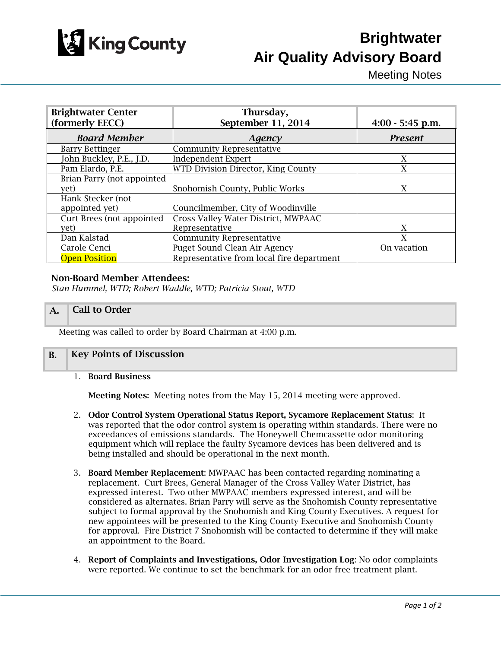

# **Brightwater Air Quality Advisory Board**

Meeting Notes

| <b>Brightwater Center</b>  | Thursday,                                 |                    |
|----------------------------|-------------------------------------------|--------------------|
| (formerly EECC)            | September 11, 2014                        | $4:00 - 5:45$ p.m. |
| <b>Board Member</b>        | Agency                                    | <b>Present</b>     |
| <b>Barry Bettinger</b>     | <b>Community Representative</b>           |                    |
| John Buckley, P.E., J.D.   | <b>Independent Expert</b>                 | X                  |
| Pam Elardo, P.E.           | WTD Division Director, King County        | X                  |
| Brian Parry (not appointed |                                           |                    |
| yet)                       | Snohomish County, Public Works            | X                  |
| Hank Stecker (not          |                                           |                    |
| appointed yet)             | Councilmember, City of Woodinville        |                    |
| Curt Brees (not appointed  | Cross Valley Water District, MWPAAC       |                    |
| vet)                       | Representative                            | X                  |
| Dan Kalstad                | <b>Community Representative</b>           | X                  |
| Carole Cenci               | Puget Sound Clean Air Agency              | On vacation        |
| <b>Open Position</b>       | Representative from local fire department |                    |

#### Non-Board Member Attendees:

*Stan Hummel, WTD; Robert Waddle, WTD; Patricia Stout, WTD*

## A. Call to Order

Meeting was called to order by Board Chairman at 4:00 p.m.

### B. Key Points of Discussion

1. Board Business

Meeting Notes: Meeting notes from the May 15, 2014 meeting were approved.

- 2. Odor Control System Operational Status Report, Sycamore Replacement Status: It was reported that the odor control system is operating within standards. There were no exceedances of emissions standards. The Honeywell Chemcassette odor monitoring equipment which will replace the faulty Sycamore devices has been delivered and is being installed and should be operational in the next month.
- 3. Board Member Replacement: MWPAAC has been contacted regarding nominating a replacement. Curt Brees, General Manager of the Cross Valley Water District, has expressed interest. Two other MWPAAC members expressed interest, and will be considered as alternates. Brian Parry will serve as the Snohomish County representative subject to formal approval by the Snohomish and King County Executives. A request for new appointees will be presented to the King County Executive and Snohomish County for approval. Fire District 7 Snohomish will be contacted to determine if they will make an appointment to the Board.
- 4. Report of Complaints and Investigations, Odor Investigation Log: No odor complaints were reported. We continue to set the benchmark for an odor free treatment plant.